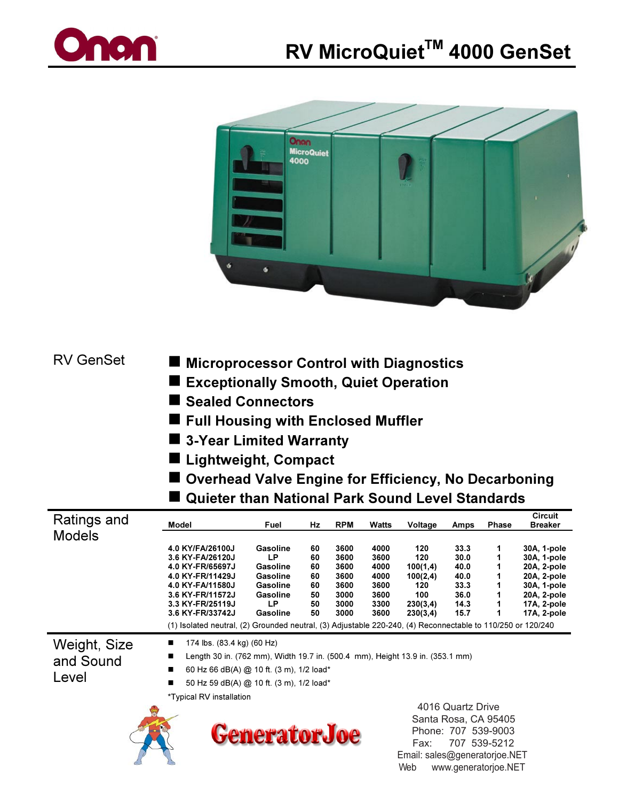



**RV GenSet** 

- **Microprocessor Control with Diagnostics**
- Exceptionally Smooth, Quiet Operation
- Sealed Connectors
- Full Housing with Enclosed Muffler
- 3-Year Limited Warranty
- Lightweight, Compact
- Overhead Valve Engine for Efficiency, No Decarboning

Web www.generatorjoe.NET

■ Quieter than National Park Sound Level Standards

| Ratings and                        | Model                                                                                                                                                                                                                                                                       | Fuel                                                                                    | Hz                                           | <b>RPM</b>                                                   | Watts                                                        | Voltage                                                                                                                   | Amps                                                         | <b>Phase</b> | <b>Circuit</b><br><b>Breaker</b>                                                                                     |
|------------------------------------|-----------------------------------------------------------------------------------------------------------------------------------------------------------------------------------------------------------------------------------------------------------------------------|-----------------------------------------------------------------------------------------|----------------------------------------------|--------------------------------------------------------------|--------------------------------------------------------------|---------------------------------------------------------------------------------------------------------------------------|--------------------------------------------------------------|--------------|----------------------------------------------------------------------------------------------------------------------|
| <b>Models</b>                      | 4.0 KY/FA/26100J<br>3.6 KY-FA/26120J<br>4.0 KY-FR/65697J<br>4.0 KY-FR/11429J<br>4.0 KY-FA/11580J<br>3.6 KY-FR/11572J<br>3.3 KY-FR/25119J<br>3.6 KY-FR/33742J<br>(1) Isolated neutral, (2) Grounded neutral, (3) Adjustable 220-240, (4) Reconnectable to 110/250 or 120/240 | Gasoline<br>LP<br>Gasoline<br>Gasoline<br>Gasoline<br><b>Gasoline</b><br>LP<br>Gasoline | 60<br>60<br>60<br>60<br>60<br>50<br>50<br>50 | 3600<br>3600<br>3600<br>3600<br>3600<br>3000<br>3000<br>3000 | 4000<br>3600<br>4000<br>4000<br>3600<br>3600<br>3300<br>3600 | 120<br>120<br>100(1,4)<br>100(2,4)<br>120<br>100<br>230(3,4)<br>230(3,4)                                                  | 33.3<br>30.0<br>40.0<br>40.0<br>33.3<br>36.0<br>14.3<br>15.7 | 1<br>1       | 30A, 1-pole<br>30A, 1-pole<br>20A, 2-pole<br>20A, 2-pole<br>30A, 1-pole<br>20A, 2-pole<br>17A, 2-pole<br>17A, 2-pole |
| Weight, Size<br>and Sound<br>Level | 174 lbs. (83.4 kg) (60 Hz)<br>■<br>Length 30 in. (762 mm), Width 19.7 in. (500.4 mm), Height 13.9 in. (353.1 mm)<br>■<br>60 Hz 66 dB(A) @ 10 ft. (3 m), 1/2 load*<br>п<br>50 Hz 59 dB(A) @ 10 ft. (3 m), 1/2 load*<br>■<br>*Typical RV installation                         |                                                                                         |                                              |                                                              |                                                              |                                                                                                                           |                                                              |              |                                                                                                                      |
|                                    |                                                                                                                                                                                                                                                                             | <b>GeneratorJoe</b>                                                                     |                                              |                                                              |                                                              | 4016 Quartz Drive<br>Santa Rosa, CA 95405<br>Phone: 707 539-9003<br>707 539-5212<br>Fax:<br>Email: sales@generatorjoe.NET |                                                              |              |                                                                                                                      |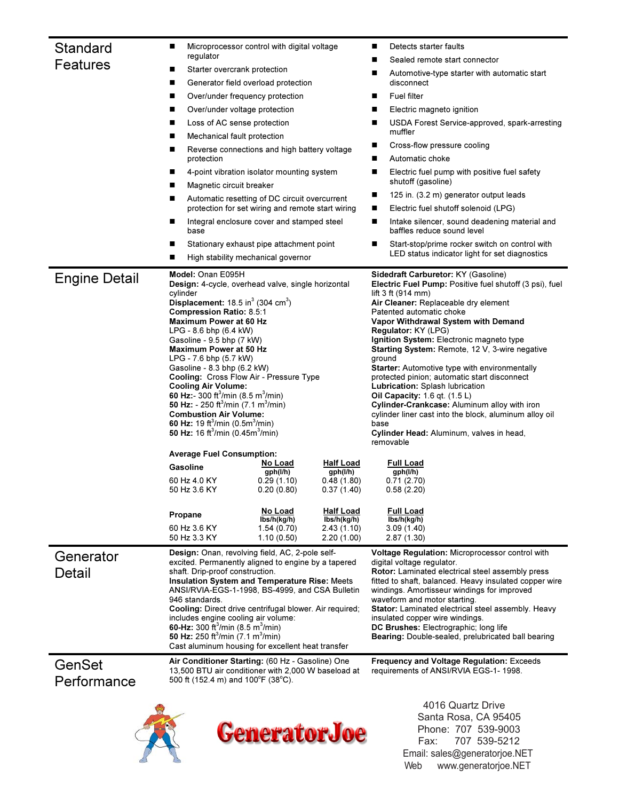| Standard<br>Features  | ■<br>regulator<br>Starter overcrank protection<br>ш<br>■<br>■<br>Over/under voltage protection<br>■<br>Loss of AC sense protection<br>■<br>Mechanical fault protection<br>ш<br>■<br>protection<br>■<br>Magnetic circuit breaker<br>■<br>■<br>■<br>base<br>■<br>■                                                                                                                                                                                                                                                                                                                                                                                                                                                                                                                                                                                                                                                                                                                                           | Microprocessor control with digital voltage<br>Generator field overload protection<br>Over/under frequency protection<br>Reverse connections and high battery voltage<br>4-point vibration isolator mounting system<br>Automatic resetting of DC circuit overcurrent<br>protection for set wiring and remote start wiring<br>Integral enclosure cover and stamped steel<br>Stationary exhaust pipe attachment point |                          | Detects starter faults<br>■<br>Sealed remote start connector<br>Automotive-type starter with automatic start<br>■<br>disconnect<br><b>Fuel filter</b><br>■<br>Electric magneto ignition<br>■<br>USDA Forest Service-approved, spark-arresting<br>■<br>muffler<br>Cross-flow pressure cooling<br>Automatic choke<br>■<br>Electric fuel pump with positive fuel safety<br>■<br>shutoff (gasoline)<br>125 in. (3.2 m) generator output leads<br>■<br>Electric fuel shutoff solenoid (LPG)<br>■<br>Intake silencer, sound deadening material and<br>■<br>baffles reduce sound level<br>Start-stop/prime rocker switch on control with<br>LED status indicator light for set diagnostics                                                                                                                            |  |  |  |
|-----------------------|------------------------------------------------------------------------------------------------------------------------------------------------------------------------------------------------------------------------------------------------------------------------------------------------------------------------------------------------------------------------------------------------------------------------------------------------------------------------------------------------------------------------------------------------------------------------------------------------------------------------------------------------------------------------------------------------------------------------------------------------------------------------------------------------------------------------------------------------------------------------------------------------------------------------------------------------------------------------------------------------------------|---------------------------------------------------------------------------------------------------------------------------------------------------------------------------------------------------------------------------------------------------------------------------------------------------------------------------------------------------------------------------------------------------------------------|--------------------------|----------------------------------------------------------------------------------------------------------------------------------------------------------------------------------------------------------------------------------------------------------------------------------------------------------------------------------------------------------------------------------------------------------------------------------------------------------------------------------------------------------------------------------------------------------------------------------------------------------------------------------------------------------------------------------------------------------------------------------------------------------------------------------------------------------------|--|--|--|
| <b>Engine Detail</b>  | High stability mechanical governor<br>Model: Onan E095H<br>Design: 4-cycle, overhead valve, single horizontal<br>cylinder<br>Displacement: $18.5 \text{ in}^3$ (304 cm <sup>3</sup> )<br><b>Compression Ratio: 8.5:1</b><br><b>Maximum Power at 60 Hz</b><br>LPG - 8.6 bhp (6.4 kW)<br>Gasoline - 9.5 bhp (7 kW)<br>Maximum Power at 50 Hz<br>LPG - 7.6 bhp (5.7 kW)<br>Gasoline - 8.3 bhp (6.2 kW)<br>Cooling: Cross Flow Air - Pressure Type<br><b>Cooling Air Volume:</b><br>60 Hz:- 300 ft <sup>3</sup> /min (8.5 m <sup>3</sup> /min)<br>50 Hz: - 250 ft <sup>3</sup> /min (7.1 m <sup>3</sup> /min)<br><b>Combustion Air Volume:</b><br>60 Hz: 19 ft <sup>3</sup> /min (0.5m <sup>3</sup> /min)<br>50 Hz: 16 ft <sup>3</sup> /min (0.45m <sup>3</sup> /min)<br><b>Average Fuel Consumption:</b><br>No Load<br><b>Half Load</b><br>Gasoline<br>gph(l/h)<br>gph(l/h)<br>60 Hz 4.0 KY<br>0.48(1.80)<br>0.29(1.10)<br>50 Hz 3.6 KY<br>0.20(0.80)<br>0.37(1.40)<br>No Load<br><b>Half Load</b><br>Propane |                                                                                                                                                                                                                                                                                                                                                                                                                     |                          | Sidedraft Carburetor: KY (Gasoline)<br>Electric Fuel Pump: Positive fuel shutoff (3 psi), fuel<br>lift $3$ ft (914 mm)<br>Air Cleaner: Replaceable dry element<br>Patented automatic choke<br>Vapor Withdrawal System with Demand<br>Regulator: KY (LPG)<br>Ignition System: Electronic magneto type<br><b>Starting System: Remote, 12 V, 3-wire negative</b><br>ground<br><b>Starter:</b> Automotive type with environmentally<br>protected pinion; automatic start disconnect<br>Lubrication: Splash lubrication<br>Oil Capacity: 1.6 qt. (1.5 L)<br>Cylinder-Crankcase: Aluminum alloy with iron<br>cylinder liner cast into the block, aluminum alloy oil<br>base<br>Cylinder Head: Aluminum, valves in head,<br>removable<br><b>Full Load</b><br>gph(l/h)<br>0.71(2.70)<br>0.58(2.20)<br><u>Full Load</u> |  |  |  |
| Generator             | 60 Hz 3.6 KY<br>50 Hz 3.3 KY<br>Design: Onan, revolving field, AC, 2-pole self-                                                                                                                                                                                                                                                                                                                                                                                                                                                                                                                                                                                                                                                                                                                                                                                                                                                                                                                            | 1.54(0.70)<br>1.10(0.50)                                                                                                                                                                                                                                                                                                                                                                                            | 2.43(1.10)<br>2.20(1.00) | 3.09(1.40)<br>2.87(1.30)<br>Voltage Regulation: Microprocessor control with                                                                                                                                                                                                                                                                                                                                                                                                                                                                                                                                                                                                                                                                                                                                    |  |  |  |
| Detail                | excited. Permanently aligned to engine by a tapered<br>shaft. Drip-proof construction.<br>Insulation System and Temperature Rise: Meets<br>ANSI/RVIA-EGS-1-1998, BS-4999, and CSA Bulletin<br>946 standards.<br>Cooling: Direct drive centrifugal blower. Air required;<br>includes engine cooling air volume:<br>60-Hz: 300 ft <sup>3</sup> /min (8.5 m <sup>3</sup> /min)<br>50 Hz: 250 ft <sup>3</sup> /min (7.1 m <sup>3</sup> /min)<br>Cast aluminum housing for excellent heat transfer                                                                                                                                                                                                                                                                                                                                                                                                                                                                                                              |                                                                                                                                                                                                                                                                                                                                                                                                                     |                          | digital voltage regulator.<br>Rotor: Laminated electrical steel assembly press<br>fitted to shaft, balanced. Heavy insulated copper wire<br>windings. Amortisseur windings for improved<br>waveform and motor starting.<br>Stator: Laminated electrical steel assembly. Heavy<br>insulated copper wire windings.<br>DC Brushes: Electrographic; long life<br>Bearing: Double-sealed, prelubricated ball bearing                                                                                                                                                                                                                                                                                                                                                                                                |  |  |  |
| GenSet<br>Performance | Air Conditioner Starting: (60 Hz - Gasoline) One<br>13,500 BTU air conditioner with 2,000 W baseload at<br>500 ft (152.4 m) and $100^{\circ}$ F (38 $^{\circ}$ C).                                                                                                                                                                                                                                                                                                                                                                                                                                                                                                                                                                                                                                                                                                                                                                                                                                         |                                                                                                                                                                                                                                                                                                                                                                                                                     |                          | <b>Frequency and Voltage Regulation: Exceeds</b><br>requirements of ANSI/RVIA EGS-1-1998.<br>$1016$ Ouartz Drive                                                                                                                                                                                                                                                                                                                                                                                                                                                                                                                                                                                                                                                                                               |  |  |  |





 4016 Quartz Drive Santa Rosa, CA 95405 Phone: 707 539-9003 Fax: 707 539-5212 Email: sales@generatorjoe.NET Web www.generatorjoe.NET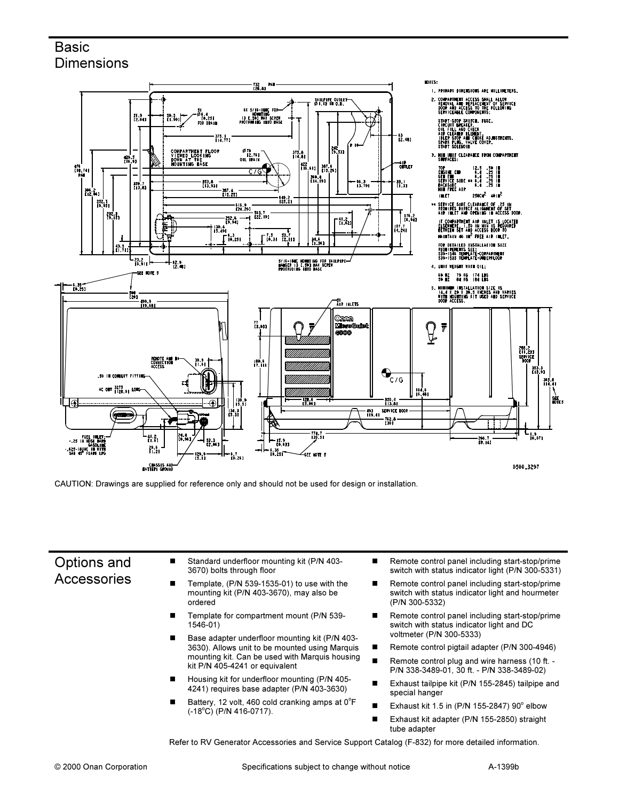## **Basic Dimensions**



CAUTION: Drawings are supplied for reference only and should not be used for design or installation.

## Options and Accessories

- - Standard underfloor mounting kit (P/N 403- 3670) bolts through floor
- - Template, (P/N 539-1535-01) to use with the mounting kit (P/N 403-3670), may also be ordered
- - Template for compartment mount (P/N 539- 1546-01)
- - Base adapter underfloor mounting kit (P/N 403- 3630). Allows unit to be mounted using Marquis mounting kit. Can be used with Marquis housing kit P/N 405-4241 or equivalent
- - Housing kit for underfloor mounting (P/N 405- 4241) requires base adapter (P/N 403-3630)
- -Battery, 12 volt, 460 cold cranking amps at  $0^{\circ}$ F  $(-18^{\circ}$ C) (P/N 416-0717).
- - Remote control panel including start-stop/prime switch with status indicator light (P/N 300-5331)
- - Remote control panel including start-stop/prime switch with status indicator light and hourmeter (P/N 300-5332)
- - Remote control panel including start-stop/prime switch with status indicator light and DC voltmeter (P/N 300-5333)
- -Remote control pigtail adapter (P/N 300-4946)
- - Remote control plug and wire harness (10 ft. - P/N 338-3489-01, 30 ft. - P/N 338-3489-02)
- - Exhaust tailpipe kit (P/N 155-2845) tailpipe and special hanger
- -Exhaust kit 1.5 in (P/N 155-2847)  $90^\circ$  elbow
- - Exhaust kit adapter (P/N 155-2850) straight tube adapter

Refer to RV Generator Accessories and Service Support Catalog (F-832) for more detailed information.